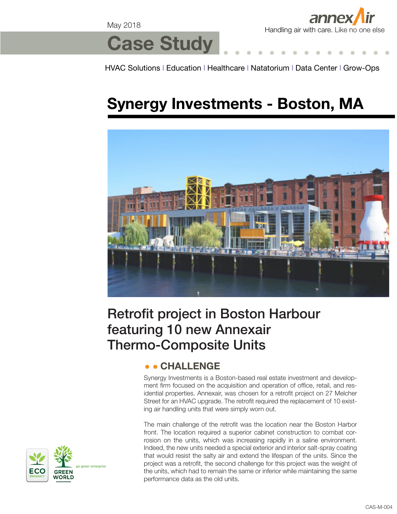May 2018



# **Case Study**

HVAC Solutions l Education l Healthcare l Natatorium l Data Center l Grow-Ops

# **Synergy Investments - Boston, MA**



## Retrofit project in Boston Harbour featuring 10 new Annexair Thermo-Composite Units

### **CHALLENGE**

Synergy Investments is a Boston-based real estate investment and development firm focused on the acquisition and operation of office, retail, and residential properties. Annexair, was chosen for a retrofit project on 27 Melcher Street for an HVAC upgrade. The retrofit required the replacement of 10 existing air handling units that were simply worn out.

The main challenge of the retrofit was the location near the Boston Harbor front. The location required a superior cabinet construction to combat corrosion on the units, which was increasing rapidly in a saline environment. Indeed, the new units needed a special exterior and interior salt-spray coating that would resist the salty air and extend the lifespan of the units. Since the project was a retrofit, the second challenge for this project was the weight of the units, which had to remain the same or inferior while maintaining the same performance data as the old units.

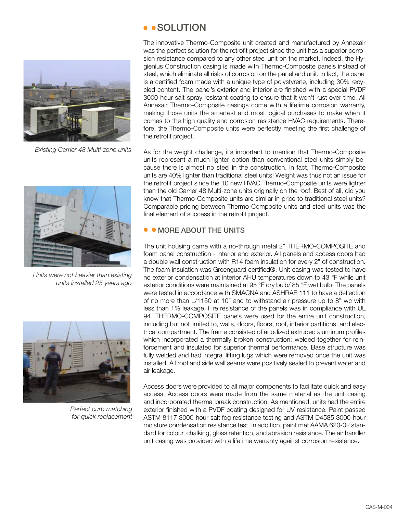

*Existing Carrier 48 Multi-zone units* 



*Units were not heavier than existing units installed 25 years ago* 



*Perfect curb matching for quick replacement* 

#### • • SOLUTION

The innovative Thermo-Composite unit created and manufactured by Annexair was the perfect solution for the retrofit project since the unit has a superior corrosion resistance compared to any other steel unit on the market. Indeed, the Hygienius Construction casing is made with Thermo-Composite panels instead of steel, which eliminate all risks of corrosion on the panel and unit. In fact, the panel is a certified foam made with a unique type of polystyrene, including 30% recycled content. The panel's exterior and interior are finished with a special PVDF 3000-hour salt-spray resistant coating to ensure that it won't rust over time. All Annexair Thermo-Composite casings come with a lifetime corrosion warranty, making those units the smartest and most logical purchases to make when it comes to the high quality and corrosion resistance HVAC requirements. Therefore, the Thermo-Composite units were perfectly meeting the first challenge of the retrofit project.

As for the weight challenge, it's important to mention that Thermo-Composite units represent a much lighter option than conventional steel units simply because there is almost no steel in the construction. In fact, Thermo-Composite units are 40% lighter than traditional steel units! Weight was thus not an issue for the retrofit project since the 10 new HVAC Thermo-Composite units were lighter than the old Carrier 48 Multi-zone units originally on the roof. Best of all, did you know that Thermo-Composite units are similar in price to traditional steel units? Comparable pricing between Thermo-Composite units and steel units was the final element of success in the retrofit project.

#### **• MORE ABOUT THE UNITS**

The unit housing came with a no-through metal 2" THERMO-COMPOSITE and foam panel construction - interior and exterior. All panels and access doors had a double wall construction with R14 foam insulation for every 2" of construction. The foam insulation was Greenguard certified®. Unit casing was tested to have no exterior condensation at interior AHU temperatures down to 43 °F while unit exterior conditions were maintained at 95 °F dry bulb/ 85 °F wet bulb. The panels were tested in accordance with SMACNA and ASHRAE 111 to have a deflection of no more than L/1150 at 10" and to withstand air pressure up to 8" wc with less than 1% leakage. Fire resistance of the panels was in compliance with UL 94. THERMO-COMPOSITE panels were used for the entire unit construction, including but not limited to, walls, doors, floors, roof, interior partitions, and electrical compartment. The frame consisted of anodized extruded aluminum profiles which incorporated a thermally broken construction; welded together for reinforcement and insulated for superior thermal performance. Base structure was fully welded and had integral lifting lugs which were removed once the unit was installed. All roof and side wall seams were positively sealed to prevent water and air leakage.

Access doors were provided to all major components to facilitate quick and easy access. Access doors were made from the same material as the unit casing and incorporated thermal break construction. As mentioned, units had the entire exterior finished with a PVDF coating designed for UV resistance. Paint passed ASTM 8117 3000-hour salt fog resistance testing and ASTM D4585 3000-hour moisture condensation resistance test. In addition, paint met AAMA 620-02 standard for colour, chalking, gloss retention, and abrasion resistance. The air handler unit casing was provided with a lifetime warranty against corrosion resistance.